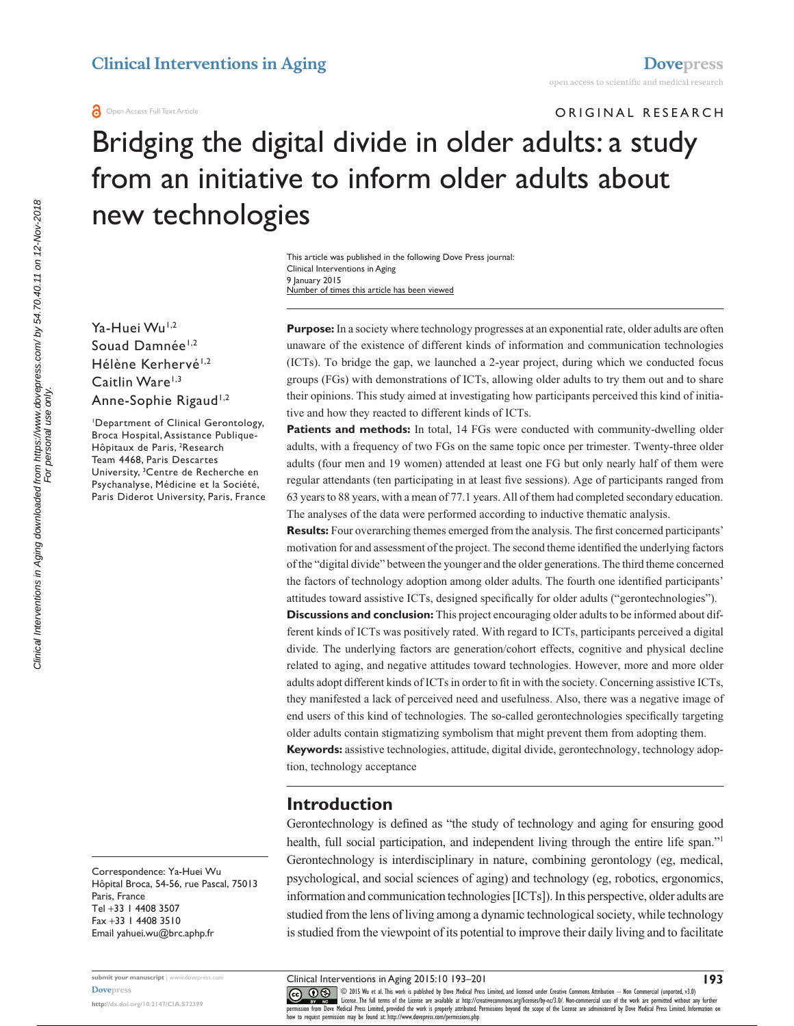ORIGINAL RESEARCH

# Bridging the digital divide in older adults: a study from an initiative to inform older adults about new technologies

This article was published in the following Dove Press journal: Clinical Interventions in Aging 9 January 2015 Number of times this article has been viewed

Ya-Huei Wu<sup>1,2</sup> Souad Damnée<sup>1,2</sup> Hélène Kerhervé<sup>1,2</sup> Caitlin Ware<sup>1,3</sup> Anne-Sophie Rigaud<sup>1,2</sup>

1 Department of Clinical Gerontology, Broca Hospital, Assistance Publique-Hôpitaux de Paris, <sup>2</sup>Research Team 4468, Paris Descartes University, 3 Centre de Recherche en Psychanalyse, Médicine et la Société, Paris Diderot University, Paris, France

Correspondence: Ya-Huei Wu Hôpital Broca, 54-56, rue Pascal, 75013 Paris, France Tel +33 1 4408 3507 Fax +33 1 4408 3510 Email [yahuei.wu@brc.aphp.fr](mailto:yahuei.wu@brc.aphp.fr)

**submit your manuscript** | <www.dovepress.com> **[Dovepress](www.dovepress.com) <http://dx.doi.org/10.2147/CIA.S72399>**

**Purpose:** In a society where technology progresses at an exponential rate, older adults are often unaware of the existence of different kinds of information and communication technologies (ICTs). To bridge the gap, we launched a 2-year project, during which we conducted focus groups (FGs) with demonstrations of ICTs, allowing older adults to try them out and to share their opinions. This study aimed at investigating how participants perceived this kind of initiative and how they reacted to different kinds of ICTs.

**Patients and methods:** In total, 14 FGs were conducted with community-dwelling older adults, with a frequency of two FGs on the same topic once per trimester. Twenty-three older adults (four men and 19 women) attended at least one FG but only nearly half of them were regular attendants (ten participating in at least five sessions). Age of participants ranged from 63 years to 88 years, with a mean of 77.1 years. All of them had completed secondary education. The analyses of the data were performed according to inductive thematic analysis.

**Results:** Four overarching themes emerged from the analysis. The first concerned participants' motivation for and assessment of the project. The second theme identified the underlying factors of the "digital divide" between the younger and the older generations. The third theme concerned the factors of technology adoption among older adults. The fourth one identified participants' attitudes toward assistive ICTs, designed specifically for older adults ("gerontechnologies").

**Discussions and conclusion:** This project encouraging older adults to be informed about different kinds of ICTs was positively rated. With regard to ICTs, participants perceived a digital divide. The underlying factors are generation/cohort effects, cognitive and physical decline related to aging, and negative attitudes toward technologies. However, more and more older adults adopt different kinds of ICTs in order to fit in with the society. Concerning assistive ICTs, they manifested a lack of perceived need and usefulness. Also, there was a negative image of end users of this kind of technologies. The so-called gerontechnologies specifically targeting older adults contain stigmatizing symbolism that might prevent them from adopting them.

**Keywords:** assistive technologies, attitude, digital divide, gerontechnology, technology adoption, technology acceptance

#### **Introduction**

Gerontechnology is defined as "the study of technology and aging for ensuring good health, full social participation, and independent living through the entire life span."<sup>1</sup> Gerontechnology is interdisciplinary in nature, combining gerontology (eg, medical, psychological, and social sciences of aging) and technology (eg, robotics, ergonomics, information and communication technologies [ICTs]). In this perspective, older adults are studied from the lens of living among a dynamic technological society, while technology is studied from the viewpoint of its potential to improve their daily living and to facilitate

Clinical Interventions in Aging 2015:10 193–201

**193**

CO OD 15 Wu et al. This work is published by Dove Medical Press Limited, and licensed under Creative Commons Attribution - Non Commercial (unported, v3.0)<br> [permission from Dove M](http://www.dovepress.com/permissions.php)edical Press Limited, provided the work is p how to request permission may be found at: http://www.dovepress.com/permissions.php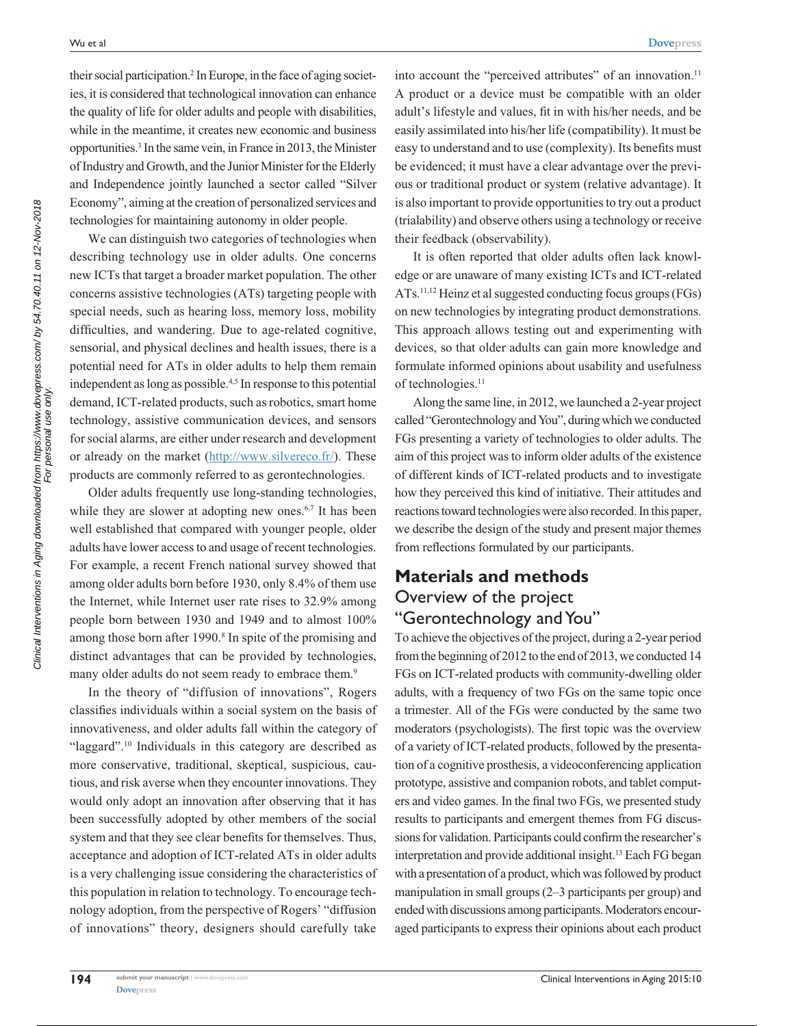their social participation.<sup>2</sup> In Europe, in the face of aging societies, it is considered that technological innovation can enhance the quality of life for older adults and people with disabilities, while in the meantime, it creates new economic and business opportunities.3 In the same vein, in France in 2013, the Minister of Industry and Growth, and the Junior Minister for the Elderly and Independence jointly launched a sector called "Silver Economy", aiming at the creation of personalized services and technologies for maintaining autonomy in older people.

We can distinguish two categories of technologies when describing technology use in older adults. One concerns new ICTs that target a broader market population. The other concerns assistive technologies (ATs) targeting people with special needs, such as hearing loss, memory loss, mobility difficulties, and wandering. Due to age-related cognitive, sensorial, and physical declines and health issues, there is a potential need for ATs in older adults to help them remain independent as long as possible.<sup>4,5</sup> In response to this potential demand, ICT-related products, such as robotics, smart home technology, assistive communication devices, and sensors for social alarms, are either under research and development or already on the market (http://www.silvereco.fr/). These products are commonly referred to as gerontechnologies.

Older adults frequently use long-standing technologies, while they are slower at adopting new ones.<sup>6,7</sup> It has been well established that compared with younger people, older adults have lower access to and usage of recent technologies. For example, a recent French national survey showed that among older adults born before 1930, only 8.4% of them use the Internet, while Internet user rate rises to 32.9% among people born between 1930 and 1949 and to almost 100% among those born after 1990.<sup>8</sup> In spite of the promising and distinct advantages that can be provided by technologies, many older adults do not seem ready to embrace them.<sup>9</sup>

In the theory of "diffusion of innovations", Rogers classifies individuals within a social system on the basis of innovativeness, and older adults fall within the category of "laggard".<sup>10</sup> Individuals in this category are described as more conservative, traditional, skeptical, suspicious, cautious, and risk averse when they encounter innovations. They would only adopt an innovation after observing that it has been successfully adopted by other members of the social system and that they see clear benefits for themselves. Thus, acceptance and adoption of ICT-related ATs in older adults is a very challenging issue considering the characteristics of this population in relation to technology. To encourage technology adoption, from the perspective of Rogers' "diffusion of innovations" theory, designers should carefully take

into account the "perceived attributes" of an innovation.<sup>11</sup> A product or a device must be compatible with an older adult's lifestyle and values, fit in with his/her needs, and be easily assimilated into his/her life (compatibility). It must be easy to understand and to use (complexity). Its benefits must be evidenced; it must have a clear advantage over the previous or traditional product or system (relative advantage). It is also important to provide opportunities to try out a product (trialability) and observe others using a technology or receive their feedback (observability).

It is often reported that older adults often lack knowledge or are unaware of many existing ICTs and ICT-related ATs.11,12 Heinz et al suggested conducting focus groups (FGs) on new technologies by integrating product demonstrations. This approach allows testing out and experimenting with devices, so that older adults can gain more knowledge and formulate informed opinions about usability and usefulness of technologies.<sup>11</sup>

Along the same line, in 2012, we launched a 2-year project called "Gerontechnology and You", during which we conducted FGs presenting a variety of technologies to older adults. The aim of this project was to inform older adults of the existence of different kinds of ICT-related products and to investigate how they perceived this kind of initiative. Their attitudes and reactions toward technologies were also recorded. In this paper, we describe the design of the study and present major themes from reflections formulated by our participants.

## **Materials and methods** Overview of the project "Gerontechnology and You"

To achieve the objectives of the project, during a 2-year period from the beginning of 2012 to the end of 2013, we conducted 14 FGs on ICT-related products with community-dwelling older adults, with a frequency of two FGs on the same topic once a trimester. All of the FGs were conducted by the same two moderators (psychologists). The first topic was the overview of a variety of ICT-related products, followed by the presentation of a cognitive prosthesis, a videoconferencing application prototype, assistive and companion robots, and tablet computers and video games. In the final two FGs, we presented study results to participants and emergent themes from FG discussions for validation. Participants could confirm the researcher's interpretation and provide additional insight.<sup>13</sup> Each FG began with a presentation of a product, which was followed by product manipulation in small groups (2–3 participants per group) and ended with discussions among participants. Moderators encouraged participants to express their opinions about each product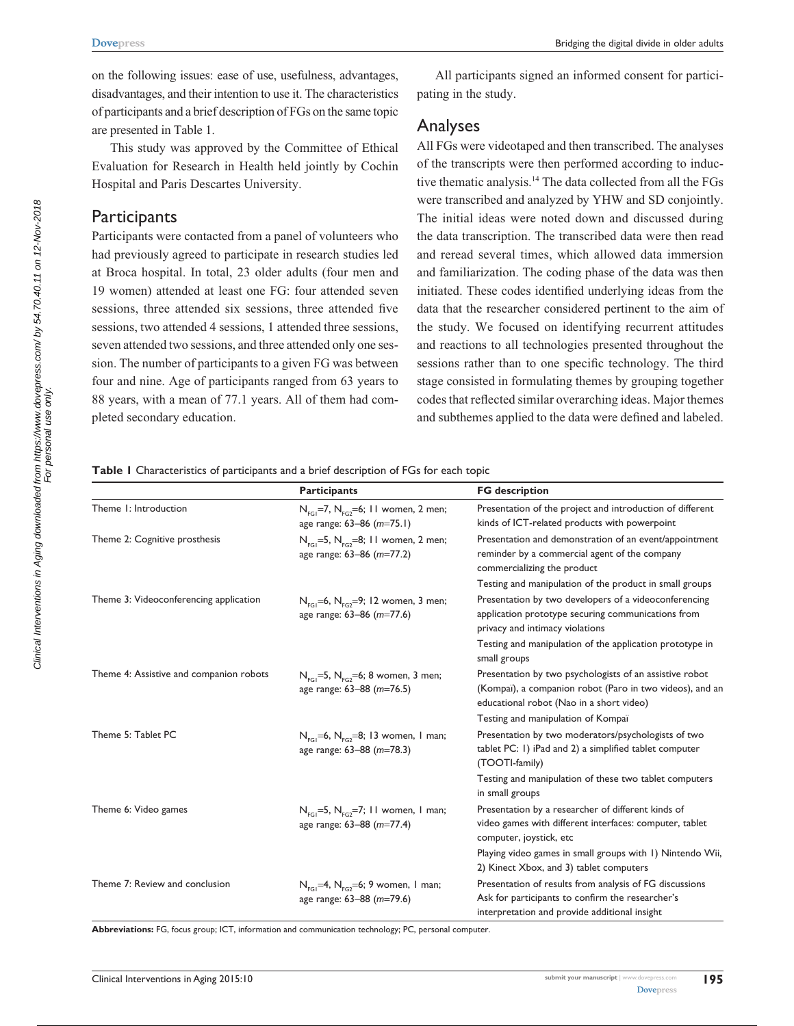on the following issues: ease of use, usefulness, advantages, disadvantages, and their intention to use it. The characteristics of participants and a brief description of FGs on the same topic are presented in Table 1.

This study was approved by the Committee of Ethical Evaluation for Research in Health held jointly by Cochin Hospital and Paris Descartes University.

#### **Participants**

Participants were contacted from a panel of volunteers who had previously agreed to participate in research studies led at Broca hospital. In total, 23 older adults (four men and 19 women) attended at least one FG: four attended seven sessions, three attended six sessions, three attended five sessions, two attended 4 sessions, 1 attended three sessions, seven attended two sessions, and three attended only one session. The number of participants to a given FG was between four and nine. Age of participants ranged from 63 years to 88 years, with a mean of 77.1 years. All of them had completed secondary education.

All participants signed an informed consent for participating in the study.

## Analyses

All FGs were videotaped and then transcribed. The analyses of the transcripts were then performed according to inductive thematic analysis.14 The data collected from all the FGs were transcribed and analyzed by YHW and SD conjointly. The initial ideas were noted down and discussed during the data transcription. The transcribed data were then read and reread several times, which allowed data immersion and familiarization. The coding phase of the data was then initiated. These codes identified underlying ideas from the data that the researcher considered pertinent to the aim of the study. We focused on identifying recurrent attitudes and reactions to all technologies presented throughout the sessions rather than to one specific technology. The third stage consisted in formulating themes by grouping together codes that reflected similar overarching ideas. Major themes and subthemes applied to the data were defined and labeled.

**Table 1** Characteristics of participants and a brief description of FGs for each topic

|                                         | <b>Participants</b>                                                                         | <b>FG</b> description                                                                                                                                           |
|-----------------------------------------|---------------------------------------------------------------------------------------------|-----------------------------------------------------------------------------------------------------------------------------------------------------------------|
| Theme 1: Introduction                   | $N_{\text{eq}}$ =7, $N_{\text{eq}}$ =6; 11 women, 2 men;<br>age range: 63-86 (m=75.1)       | Presentation of the project and introduction of different<br>kinds of ICT-related products with powerpoint                                                      |
| Theme 2: Cognitive prosthesis           | $N_{FGI} = 5$ , $N_{FG2} = 8$ ; 11 women, 2 men;<br>age range: 63-86 (m=77.2)               | Presentation and demonstration of an event/appointment<br>reminder by a commercial agent of the company<br>commercializing the product                          |
|                                         |                                                                                             | Testing and manipulation of the product in small groups                                                                                                         |
| Theme 3: Videoconferencing application  | $N_{FGI} = 6$ , $N_{FG2} = 9$ ; 12 women, 3 men;<br>age range: 63-86 (m=77.6)               | Presentation by two developers of a videoconferencing<br>application prototype securing communications from<br>privacy and intimacy violations                  |
|                                         |                                                                                             | Testing and manipulation of the application prototype in<br>small groups                                                                                        |
| Theme 4: Assistive and companion robots | $N_{\text{eq}}$ =5, $N_{\text{eq}}$ =6; 8 women, 3 men;<br>age range: 63-88 (m=76.5)        | Presentation by two psychologists of an assistive robot<br>(Kompaï), a companion robot (Paro in two videos), and an<br>educational robot (Nao in a short video) |
|                                         |                                                                                             | Testing and manipulation of Kompaï                                                                                                                              |
| Theme 5: Tablet PC                      | $N_{\text{FGI}} = 6$ , $N_{\text{FG2}} = 8$ ; 13 women, 1 man;<br>age range: 63-88 (m=78.3) | Presentation by two moderators/psychologists of two<br>tablet PC: 1) iPad and 2) a simplified tablet computer<br>(TOOTI-family)                                 |
|                                         |                                                                                             | Testing and manipulation of these two tablet computers<br>in small groups                                                                                       |
| Theme 6: Video games                    | $N_{\text{eq}}$ =5, $N_{\text{eq}}$ =7; 11 women, 1 man;<br>age range: 63-88 (m=77.4)       | Presentation by a researcher of different kinds of<br>video games with different interfaces: computer, tablet<br>computer, joystick, etc                        |
|                                         |                                                                                             | Playing video games in small groups with 1) Nintendo Wii,<br>2) Kinect Xbox, and 3) tablet computers                                                            |
| Theme 7: Review and conclusion          | $N_{\text{eq}}=4$ , $N_{\text{eq}}=6$ ; 9 women, 1 man;<br>age range: 63-88 (m=79.6)        | Presentation of results from analysis of FG discussions<br>Ask for participants to confirm the researcher's<br>interpretation and provide additional insight    |

**Abbreviations:** FG, focus group; ICT, information and communication technology; PC, personal computer.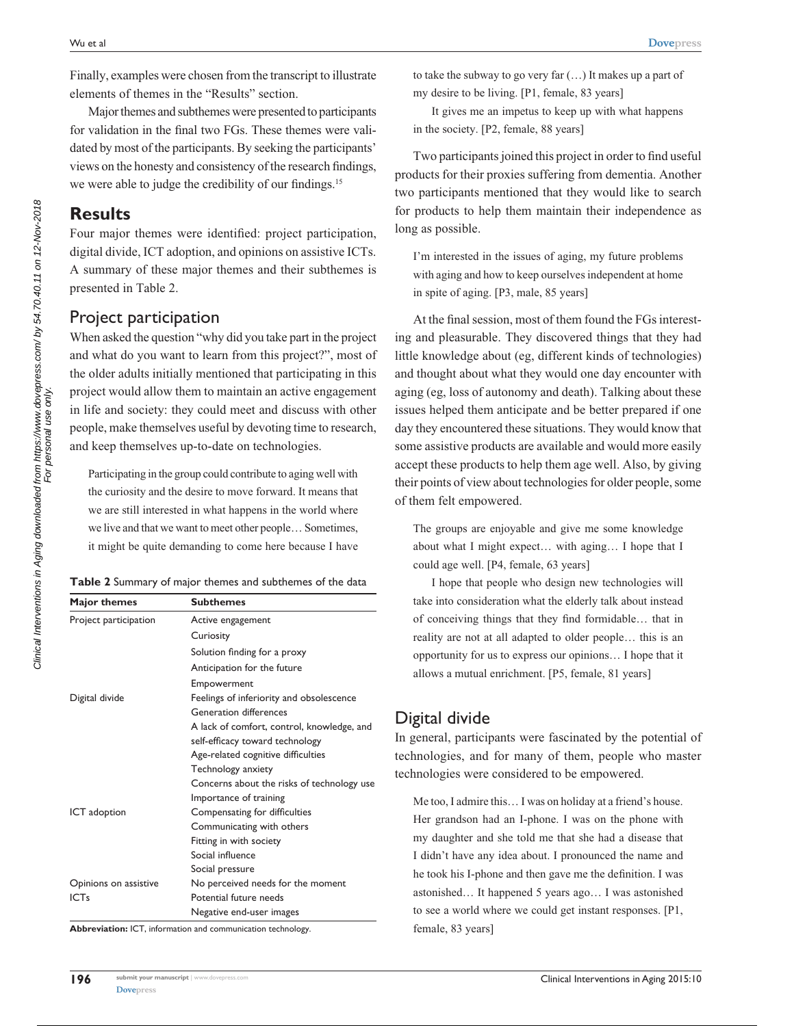Finally, examples were chosen from the transcript to illustrate elements of themes in the "Results" section.

Major themes and subthemes were presented to participants for validation in the final two FGs. These themes were validated by most of the participants. By seeking the participants' views on the honesty and consistency of the research findings, we were able to judge the credibility of our findings.<sup>15</sup>

## **Results**

Four major themes were identified: project participation, digital divide, ICT adoption, and opinions on assistive ICTs. A summary of these major themes and their subthemes is presented in Table 2.

## Project participation

When asked the question "why did you take part in the project and what do you want to learn from this project?", most of the older adults initially mentioned that participating in this project would allow them to maintain an active engagement in life and society: they could meet and discuss with other people, make themselves useful by devoting time to research, and keep themselves up-to-date on technologies.

Participating in the group could contribute to aging well with the curiosity and the desire to move forward. It means that we are still interested in what happens in the world where we live and that we want to meet other people… Sometimes, it might be quite demanding to come here because I have

|  | Table 2 Summary of major themes and subthemes of the data |
|--|-----------------------------------------------------------|
|--|-----------------------------------------------------------|

| Major themes          | <b>Subthemes</b>                           |  |
|-----------------------|--------------------------------------------|--|
| Project participation | Active engagement                          |  |
|                       | Curiosity                                  |  |
|                       | Solution finding for a proxy               |  |
|                       | Anticipation for the future                |  |
|                       | Empowerment                                |  |
| Digital divide        | Feelings of inferiority and obsolescence   |  |
|                       | Generation differences                     |  |
|                       | A lack of comfort, control, knowledge, and |  |
|                       | self-efficacy toward technology            |  |
|                       | Age-related cognitive difficulties         |  |
|                       | Technology anxiety                         |  |
|                       | Concerns about the risks of technology use |  |
|                       | Importance of training                     |  |
| ICT adoption          | Compensating for difficulties              |  |
|                       | Communicating with others                  |  |
|                       | Fitting in with society                    |  |
|                       | Social influence                           |  |
|                       | Social pressure                            |  |
| Opinions on assistive | No perceived needs for the moment          |  |
| <b>ICTs</b>           | Potential future needs                     |  |
|                       | Negative end-user images                   |  |

**Abbreviation:** ICT, information and communication technology.

to take the subway to go very far (…) It makes up a part of my desire to be living. [P1, female, 83 years]

It gives me an impetus to keep up with what happens in the society. [P2, female, 88 years]

Two participants joined this project in order to find useful products for their proxies suffering from dementia. Another two participants mentioned that they would like to search for products to help them maintain their independence as long as possible.

I'm interested in the issues of aging, my future problems with aging and how to keep ourselves independent at home in spite of aging. [P3, male, 85 years]

At the final session, most of them found the FGs interesting and pleasurable. They discovered things that they had little knowledge about (eg, different kinds of technologies) and thought about what they would one day encounter with aging (eg, loss of autonomy and death). Talking about these issues helped them anticipate and be better prepared if one day they encountered these situations. They would know that some assistive products are available and would more easily accept these products to help them age well. Also, by giving their points of view about technologies for older people, some of them felt empowered.

The groups are enjoyable and give me some knowledge about what I might expect… with aging… I hope that I could age well. [P4, female, 63 years]

I hope that people who design new technologies will take into consideration what the elderly talk about instead of conceiving things that they find formidable… that in reality are not at all adapted to older people… this is an opportunity for us to express our opinions… I hope that it allows a mutual enrichment. [P5, female, 81 years]

# Digital divide

In general, participants were fascinated by the potential of technologies, and for many of them, people who master technologies were considered to be empowered.

Me too, I admire this… I was on holiday at a friend's house. Her grandson had an I-phone. I was on the phone with my daughter and she told me that she had a disease that I didn't have any idea about. I pronounced the name and he took his I-phone and then gave me the definition. I was astonished… It happened 5 years ago… I was astonished to see a world where we could get instant responses. [P1, female, 83 years]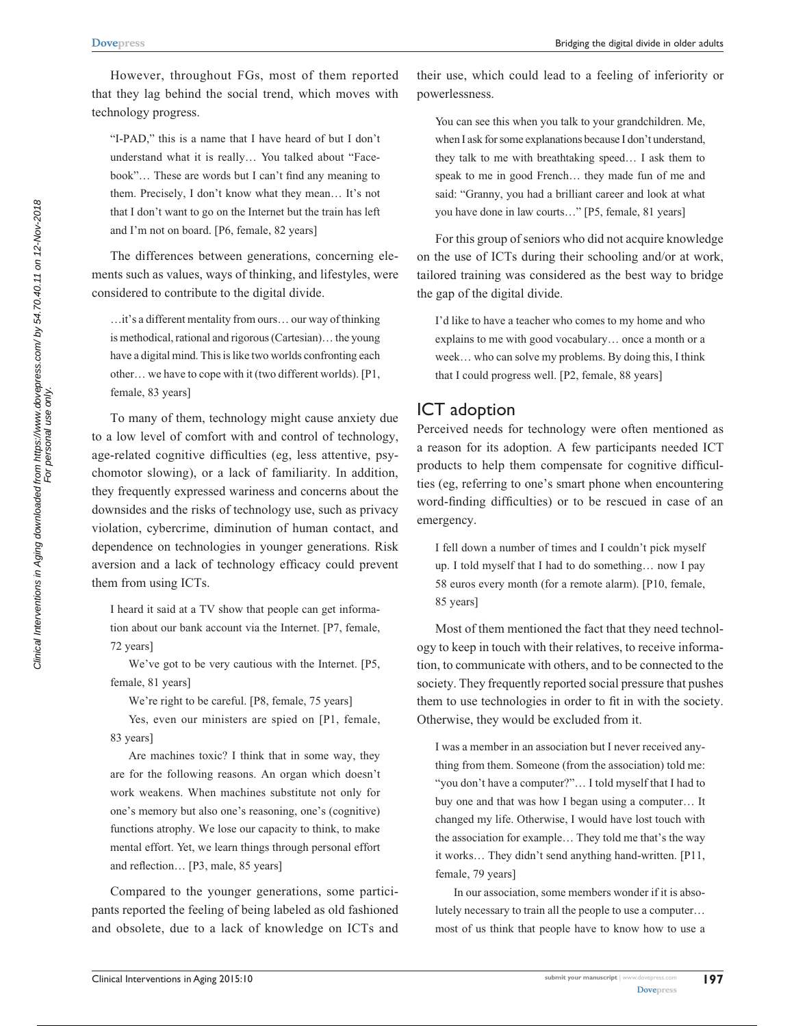However, throughout FGs, most of them reported that they lag behind the social trend, which moves with technology progress.

"I-PAD," this is a name that I have heard of but I don't understand what it is really… You talked about "Facebook"… These are words but I can't find any meaning to them. Precisely, I don't know what they mean… It's not that I don't want to go on the Internet but the train has left and I'm not on board. [P6, female, 82 years]

The differences between generations, concerning elements such as values, ways of thinking, and lifestyles, were considered to contribute to the digital divide.

…it's a different mentality from ours… our way of thinking is methodical, rational and rigorous (Cartesian)… the young have a digital mind. This is like two worlds confronting each other… we have to cope with it (two different worlds). [P1, female, 83 years]

To many of them, technology might cause anxiety due to a low level of comfort with and control of technology, age-related cognitive difficulties (eg, less attentive, psychomotor slowing), or a lack of familiarity. In addition, they frequently expressed wariness and concerns about the downsides and the risks of technology use, such as privacy violation, cybercrime, diminution of human contact, and dependence on technologies in younger generations. Risk aversion and a lack of technology efficacy could prevent them from using ICTs.

I heard it said at a TV show that people can get information about our bank account via the Internet. [P7, female, 72 years]

We've got to be very cautious with the Internet. [P5, female, 81 years]

We're right to be careful. [P8, female, 75 years]

Yes, even our ministers are spied on [P1, female, 83 years]

Are machines toxic? I think that in some way, they are for the following reasons. An organ which doesn't work weakens. When machines substitute not only for one's memory but also one's reasoning, one's (cognitive) functions atrophy. We lose our capacity to think, to make mental effort. Yet, we learn things through personal effort and reflection… [P3, male, 85 years]

Compared to the younger generations, some participants reported the feeling of being labeled as old fashioned and obsolete, due to a lack of knowledge on ICTs and their use, which could lead to a feeling of inferiority or powerlessness.

You can see this when you talk to your grandchildren. Me, when I ask for some explanations because I don't understand, they talk to me with breathtaking speed… I ask them to speak to me in good French… they made fun of me and said: "Granny, you had a brilliant career and look at what you have done in law courts…" [P5, female, 81 years]

For this group of seniors who did not acquire knowledge on the use of ICTs during their schooling and/or at work, tailored training was considered as the best way to bridge the gap of the digital divide.

I'd like to have a teacher who comes to my home and who explains to me with good vocabulary… once a month or a week... who can solve my problems. By doing this, I think that I could progress well. [P2, female, 88 years]

#### ICT adoption

Perceived needs for technology were often mentioned as a reason for its adoption. A few participants needed ICT products to help them compensate for cognitive difficulties (eg, referring to one's smart phone when encountering word-finding difficulties) or to be rescued in case of an emergency.

I fell down a number of times and I couldn't pick myself up. I told myself that I had to do something… now I pay 58 euros every month (for a remote alarm). [P10, female, 85 years]

Most of them mentioned the fact that they need technology to keep in touch with their relatives, to receive information, to communicate with others, and to be connected to the society. They frequently reported social pressure that pushes them to use technologies in order to fit in with the society. Otherwise, they would be excluded from it.

I was a member in an association but I never received anything from them. Someone (from the association) told me: "you don't have a computer?"… I told myself that I had to buy one and that was how I began using a computer… It changed my life. Otherwise, I would have lost touch with the association for example… They told me that's the way it works… They didn't send anything hand-written. [P11, female, 79 years]

In our association, some members wonder if it is absolutely necessary to train all the people to use a computer… most of us think that people have to know how to use a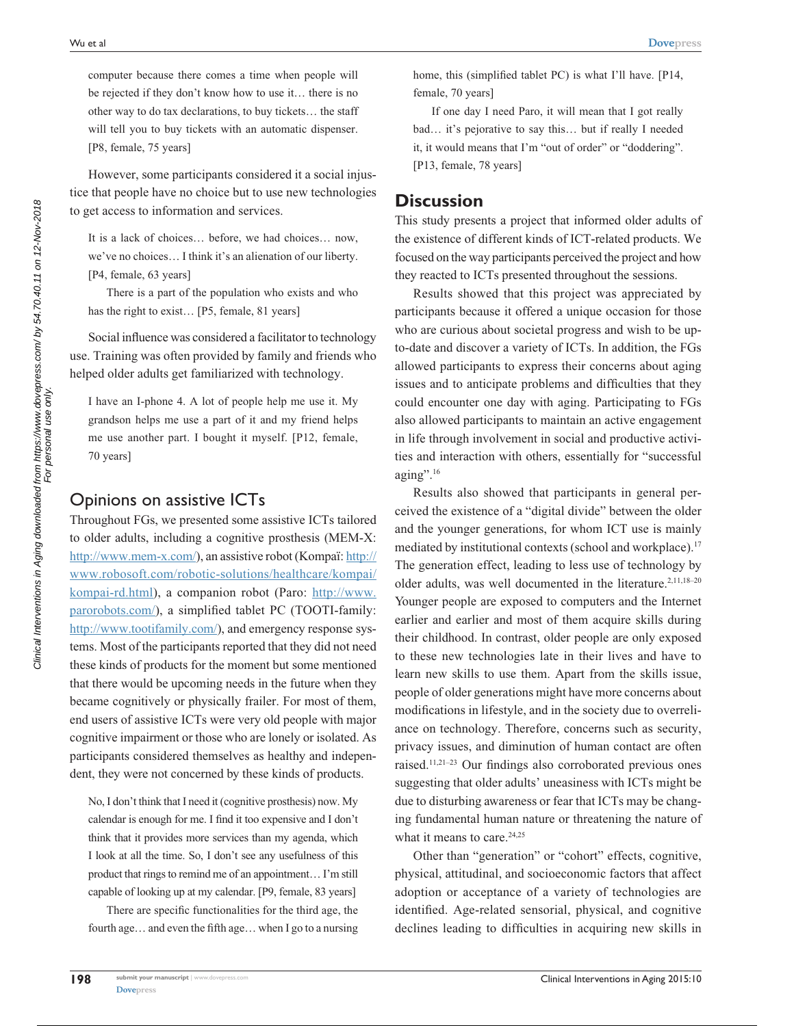computer because there comes a time when people will be rejected if they don't know how to use it… there is no other way to do tax declarations, to buy tickets… the staff will tell you to buy tickets with an automatic dispenser. [P8, female, 75 years]

However, some participants considered it a social injustice that people have no choice but to use new technologies to get access to information and services.

It is a lack of choices… before, we had choices… now, we've no choices… I think it's an alienation of our liberty. [P4, female, 63 years]

There is a part of the population who exists and who has the right to exist... [P5, female, 81 years]

Social influence was considered a facilitator to technology use. Training was often provided by family and friends who helped older adults get familiarized with technology.

I have an I-phone 4. A lot of people help me use it. My grandson helps me use a part of it and my friend helps me use another part. I bought it myself. [P12, female, 70 years]

#### Opinions on assistive ICTs

Throughout FGs, we presented some assistive ICTs tailored to older adults, including a cognitive prosthesis (MEM-X: http://www.mem-x.com/), an assistive robot (Kompaï: http:// www.robosoft.com/robotic-solutions/healthcare/kompai/ kompai-rd.html), a companion robot (Paro: http://www. parorobots.com/), a simplified tablet PC (TOOTI-family: http://www.tootifamily.com/), and emergency response systems. Most of the participants reported that they did not need these kinds of products for the moment but some mentioned that there would be upcoming needs in the future when they became cognitively or physically frailer. For most of them, end users of assistive ICTs were very old people with major cognitive impairment or those who are lonely or isolated. As participants considered themselves as healthy and independent, they were not concerned by these kinds of products.

No, I don't think that I need it (cognitive prosthesis) now. My calendar is enough for me. I find it too expensive and I don't think that it provides more services than my agenda, which I look at all the time. So, I don't see any usefulness of this product that rings to remind me of an appointment… I'm still capable of looking up at my calendar. [P9, female, 83 years]

There are specific functionalities for the third age, the fourth age… and even the fifth age… when I go to a nursing home, this (simplified tablet PC) is what I'll have. [P14, female, 70 years]

If one day I need Paro, it will mean that I got really bad… it's pejorative to say this… but if really I needed it, it would means that I'm "out of order" or "doddering". [P13, female, 78 years]

#### **Discussion**

This study presents a project that informed older adults of the existence of different kinds of ICT-related products. We focused on the way participants perceived the project and how they reacted to ICTs presented throughout the sessions.

Results showed that this project was appreciated by participants because it offered a unique occasion for those who are curious about societal progress and wish to be upto-date and discover a variety of ICTs. In addition, the FGs allowed participants to express their concerns about aging issues and to anticipate problems and difficulties that they could encounter one day with aging. Participating to FGs also allowed participants to maintain an active engagement in life through involvement in social and productive activities and interaction with others, essentially for "successful aging".<sup>16</sup>

Results also showed that participants in general perceived the existence of a "digital divide" between the older and the younger generations, for whom ICT use is mainly mediated by institutional contexts (school and workplace).<sup>17</sup> The generation effect, leading to less use of technology by older adults, was well documented in the literature.<sup>2,11,18-20</sup> Younger people are exposed to computers and the Internet earlier and earlier and most of them acquire skills during their childhood. In contrast, older people are only exposed to these new technologies late in their lives and have to learn new skills to use them. Apart from the skills issue, people of older generations might have more concerns about modifications in lifestyle, and in the society due to overreliance on technology. Therefore, concerns such as security, privacy issues, and diminution of human contact are often raised.11,21–23 Our findings also corroborated previous ones suggesting that older adults' uneasiness with ICTs might be due to disturbing awareness or fear that ICTs may be changing fundamental human nature or threatening the nature of what it means to care.<sup>24,25</sup>

Other than "generation" or "cohort" effects, cognitive, physical, attitudinal, and socioeconomic factors that affect adoption or acceptance of a variety of technologies are identified. Age-related sensorial, physical, and cognitive declines leading to difficulties in acquiring new skills in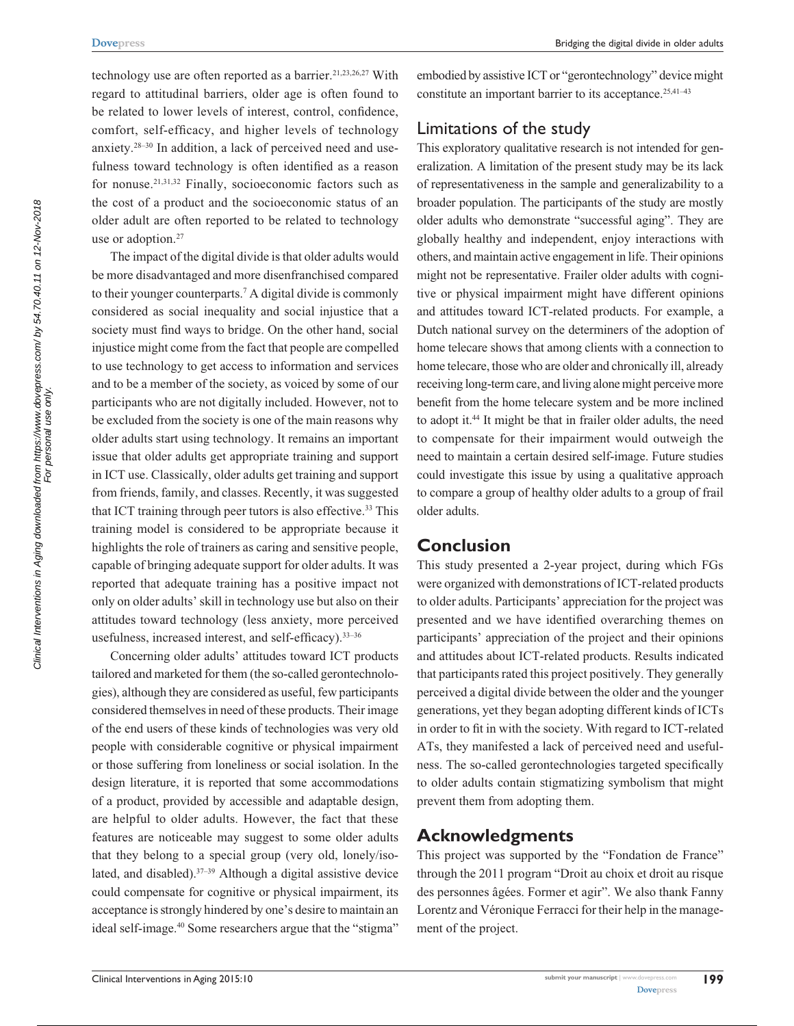technology use are often reported as a barrier.<sup>21,23,26,27</sup> With regard to attitudinal barriers, older age is often found to be related to lower levels of interest, control, confidence, comfort, self-efficacy, and higher levels of technology anxiety.28–30 In addition, a lack of perceived need and usefulness toward technology is often identified as a reason for nonuse.21,31,32 Finally, socioeconomic factors such as the cost of a product and the socioeconomic status of an older adult are often reported to be related to technology use or adoption.<sup>27</sup>

The impact of the digital divide is that older adults would be more disadvantaged and more disenfranchised compared to their younger counterparts.7 A digital divide is commonly considered as social inequality and social injustice that a society must find ways to bridge. On the other hand, social injustice might come from the fact that people are compelled to use technology to get access to information and services and to be a member of the society, as voiced by some of our participants who are not digitally included. However, not to be excluded from the society is one of the main reasons why older adults start using technology. It remains an important issue that older adults get appropriate training and support in ICT use. Classically, older adults get training and support from friends, family, and classes. Recently, it was suggested that ICT training through peer tutors is also effective.<sup>33</sup> This training model is considered to be appropriate because it highlights the role of trainers as caring and sensitive people, capable of bringing adequate support for older adults. It was reported that adequate training has a positive impact not only on older adults' skill in technology use but also on their attitudes toward technology (less anxiety, more perceived usefulness, increased interest, and self-efficacy).33–36

Concerning older adults' attitudes toward ICT products tailored and marketed for them (the so-called gerontechnologies), although they are considered as useful, few participants considered themselves in need of these products. Their image of the end users of these kinds of technologies was very old people with considerable cognitive or physical impairment or those suffering from loneliness or social isolation. In the design literature, it is reported that some accommodations of a product, provided by accessible and adaptable design, are helpful to older adults. However, the fact that these features are noticeable may suggest to some older adults that they belong to a special group (very old, lonely/isolated, and disabled). $37-39$  Although a digital assistive device could compensate for cognitive or physical impairment, its acceptance is strongly hindered by one's desire to maintain an ideal self-image.40 Some researchers argue that the "stigma"

embodied by assistive ICT or "gerontechnology" device might constitute an important barrier to its acceptance.<sup>25,41-43</sup>

## Limitations of the study

This exploratory qualitative research is not intended for generalization. A limitation of the present study may be its lack of representativeness in the sample and generalizability to a broader population. The participants of the study are mostly older adults who demonstrate "successful aging". They are globally healthy and independent, enjoy interactions with others, and maintain active engagement in life. Their opinions might not be representative. Frailer older adults with cognitive or physical impairment might have different opinions and attitudes toward ICT-related products. For example, a Dutch national survey on the determiners of the adoption of home telecare shows that among clients with a connection to home telecare, those who are older and chronically ill, already receiving long-term care, and living alone might perceive more benefit from the home telecare system and be more inclined to adopt it.<sup>44</sup> It might be that in frailer older adults, the need to compensate for their impairment would outweigh the need to maintain a certain desired self-image. Future studies could investigate this issue by using a qualitative approach to compare a group of healthy older adults to a group of frail older adults.

#### **Conclusion**

This study presented a 2-year project, during which FGs were organized with demonstrations of ICT-related products to older adults. Participants' appreciation for the project was presented and we have identified overarching themes on participants' appreciation of the project and their opinions and attitudes about ICT-related products. Results indicated that participants rated this project positively. They generally perceived a digital divide between the older and the younger generations, yet they began adopting different kinds of ICTs in order to fit in with the society. With regard to ICT-related ATs, they manifested a lack of perceived need and usefulness. The so-called gerontechnologies targeted specifically to older adults contain stigmatizing symbolism that might prevent them from adopting them.

## **Acknowledgments**

This project was supported by the "Fondation de France" through the 2011 program "Droit au choix et droit au risque des personnes âgées. Former et agir". We also thank Fanny Lorentz and Véronique Ferracci for their help in the management of the project.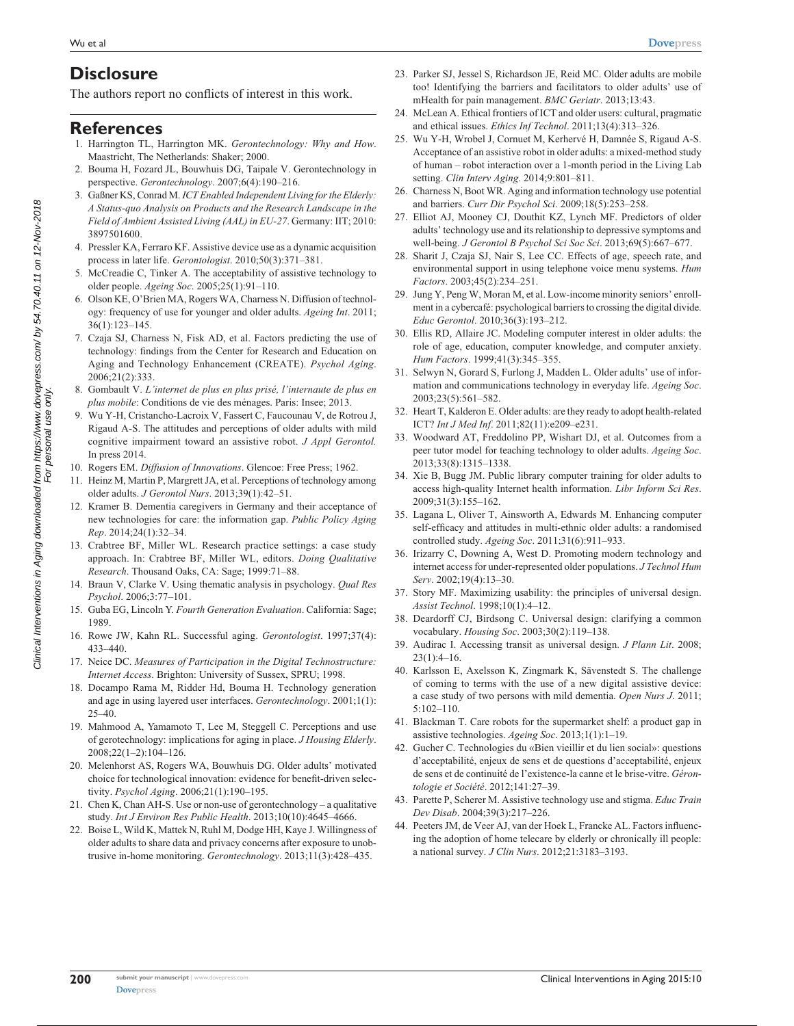## **Disclosure**

The authors report no conflicts of interest in this work.

#### **References**

- 1. Harrington TL, Harrington MK. *Gerontechnology: Why and How*. Maastricht, The Netherlands: Shaker; 2000.
- 2. Bouma H, Fozard JL, Bouwhuis DG, Taipale V. Gerontechnology in perspective. *Gerontechnology*. 2007;6(4):190–216.
- 3. Gaßner KS, Conrad M. *ICT Enabled Independent Living for the Elderly: A Status-quo Analysis on Products and the Research Landscape in the Field of Ambient Assisted Living (AAL) in EU-27*. Germany: IIT; 2010: 3897501600.
- 4. Pressler KA, Ferraro KF. Assistive device use as a dynamic acquisition process in later life. *Gerontologist*. 2010;50(3):371–381.
- 5. McCreadie C, Tinker A. The acceptability of assistive technology to older people. *Ageing Soc*. 2005;25(1):91–110.
- 6. Olson KE, O'Brien MA, Rogers WA, Charness N. Diffusion of technology: frequency of use for younger and older adults. *Ageing Int*. 2011; 36(1):123–145.
- 7. Czaja SJ, Charness N, Fisk AD, et al. Factors predicting the use of technology: findings from the Center for Research and Education on Aging and Technology Enhancement (CREATE). *Psychol Aging*. 2006;21(2):333.
- 8. Gombault V. *L'internet de plus en plus prisé, l'internaute de plus en plus mobile*: Conditions de vie des ménages. Paris: Insee; 2013.
- 9. Wu Y-H, Cristancho-Lacroix V, Fassert C, Faucounau V, de Rotrou J, Rigaud A-S. The attitudes and perceptions of older adults with mild cognitive impairment toward an assistive robot. *J Appl Gerontol.* In press 2014.
- 10. Rogers EM. *Diffusion of Innovations*. Glencoe: Free Press; 1962.
- 11. Heinz M, Martin P, Margrett JA, et al. Perceptions of technology among older adults. *J Gerontol Nurs*. 2013;39(1):42–51.
- 12. Kramer B. Dementia caregivers in Germany and their acceptance of new technologies for care: the information gap. *Public Policy Aging Rep*. 2014;24(1):32–34.
- 13. Crabtree BF, Miller WL. Research practice settings: a case study approach. In: Crabtree BF, Miller WL, editors. *Doing Qualitative Research*. Thousand Oaks, CA: Sage; 1999:71–88.
- 14. Braun V, Clarke V. Using thematic analysis in psychology. *Qual Res Psychol*. 2006;3:77–101.
- 15. Guba EG, Lincoln Y. *Fourth Generation Evaluation*. California: Sage; 1989.
- 16. Rowe JW, Kahn RL. Successful aging. *Gerontologist*. 1997;37(4): 433–440.
- 17. Neice DC. *Measures of Participation in the Digital Technostructure: Internet Access*. Brighton: University of Sussex, SPRU; 1998.
- 18. Docampo Rama M, Ridder Hd, Bouma H. Technology generation and age in using layered user interfaces. *Gerontechnology*. 2001;1(1): 25–40.
- 19. Mahmood A, Yamamoto T, Lee M, Steggell C. Perceptions and use of gerotechnology: implications for aging in place. *J Housing Elderly*. 2008;22(1–2):104–126.
- 20. Melenhorst AS, Rogers WA, Bouwhuis DG. Older adults' motivated choice for technological innovation: evidence for benefit-driven selectivity. *Psychol Aging*. 2006;21(1):190–195.
- 21. Chen K, Chan AH-S. Use or non-use of gerontechnology a qualitative study. *Int J Environ Res Public Health*. 2013;10(10):4645–4666.
- 22. Boise L, Wild K, Mattek N, Ruhl M, Dodge HH, Kaye J. Willingness of older adults to share data and privacy concerns after exposure to unobtrusive in-home monitoring. *Gerontechnology*. 2013;11(3):428–435.
- 23. Parker SJ, Jessel S, Richardson JE, Reid MC. Older adults are mobile too! Identifying the barriers and facilitators to older adults' use of mHealth for pain management. *BMC Geriatr*. 2013;13:43.
- 24. McLean A. Ethical frontiers of ICT and older users: cultural, pragmatic and ethical issues. *Ethics Inf Technol*. 2011;13(4):313–326.
- 25. Wu Y-H, Wrobel J, Cornuet M, Kerhervé H, Damnée S, Rigaud A-S. Acceptance of an assistive robot in older adults: a mixed-method study of human – robot interaction over a 1-month period in the Living Lab setting. *Clin Interv Aging*. 2014;9:801–811.
- 26. Charness N, Boot WR. Aging and information technology use potential and barriers. *Curr Dir Psychol Sci*. 2009;18(5):253–258.
- 27. Elliot AJ, Mooney CJ, Douthit KZ, Lynch MF. Predictors of older adults' technology use and its relationship to depressive symptoms and well-being. *J Gerontol B Psychol Sci Soc Sci*. 2013;69(5):667–677.
- 28. Sharit J, Czaja SJ, Nair S, Lee CC. Effects of age, speech rate, and environmental support in using telephone voice menu systems. *Hum Factors*. 2003;45(2):234–251.
- 29. Jung Y, Peng W, Moran M, et al. Low-income minority seniors' enrollment in a cybercafé: psychological barriers to crossing the digital divide. *Educ Gerontol*. 2010;36(3):193–212.
- 30. Ellis RD, Allaire JC. Modeling computer interest in older adults: the role of age, education, computer knowledge, and computer anxiety. *Hum Factors*. 1999;41(3):345–355.
- 31. Selwyn N, Gorard S, Furlong J, Madden L. Older adults' use of information and communications technology in everyday life. *Ageing Soc*. 2003;23(5):561–582.
- 32. Heart T, Kalderon E. Older adults: are they ready to adopt health-related ICT? *Int J Med Inf*. 2011;82(11):e209–e231.
- 33. Woodward AT, Freddolino PP, Wishart DJ, et al. Outcomes from a peer tutor model for teaching technology to older adults. *Ageing Soc*. 2013;33(8):1315–1338.
- 34. Xie B, Bugg JM. Public library computer training for older adults to access high-quality Internet health information. *Libr Inform Sci Res*. 2009;31(3):155–162.
- 35. Lagana L, Oliver T, Ainsworth A, Edwards M. Enhancing computer self-efficacy and attitudes in multi-ethnic older adults: a randomised controlled study. *Ageing Soc*. 2011;31(6):911–933.
- 36. Irizarry C, Downing A, West D. Promoting modern technology and internet access for under-represented older populations. *J Technol Hum Serv*. 2002;19(4):13–30.
- 37. Story MF. Maximizing usability: the principles of universal design. *Assist Technol*. 1998;10(1):4–12.
- 38. Deardorff CJ, Birdsong C. Universal design: clarifying a common vocabulary. *Housing Soc*. 2003;30(2):119–138.
- 39. Audirac I. Accessing transit as universal design. *J Plann Lit*. 2008;  $23(1):4–16.$
- 40. Karlsson E, Axelsson K, Zingmark K, Sävenstedt S. The challenge of coming to terms with the use of a new digital assistive device: a case study of two persons with mild dementia. *Open Nurs J*. 2011; 5:102–110.
- 41. Blackman T. Care robots for the supermarket shelf: a product gap in assistive technologies. *Ageing Soc*. 2013;1(1):1–19.
- 42. Gucher C. Technologies du «Bien vieillir et du lien social»: questions d'acceptabilité, enjeux de sens et de questions d'acceptabilité, enjeux de sens et de continuité de l'existence-la canne et le brise-vitre. *Gérontologie et Société*. 2012;141:27–39.
- 43. Parette P, Scherer M. Assistive technology use and stigma. *Educ Train Dev Disab*. 2004;39(3):217–226.
- 44. Peeters JM, de Veer AJ, van der Hoek L, Francke AL. Factors influencing the adoption of home telecare by elderly or chronically ill people: a national survey. *J Clin Nurs*. 2012;21:3183–3193.

Clinical Interventions in Aging downloaded from https://www.dovepress.com/ by 54.70.40.11 on 12-Nov-2018<br>Clinical Interventions in Aging downloaded For personal use only. Clinical Interventions in Aging downloaded from https://www.dovepress.com/ by 54.70.40.11 on 12-Nov-2018 For personal use only.